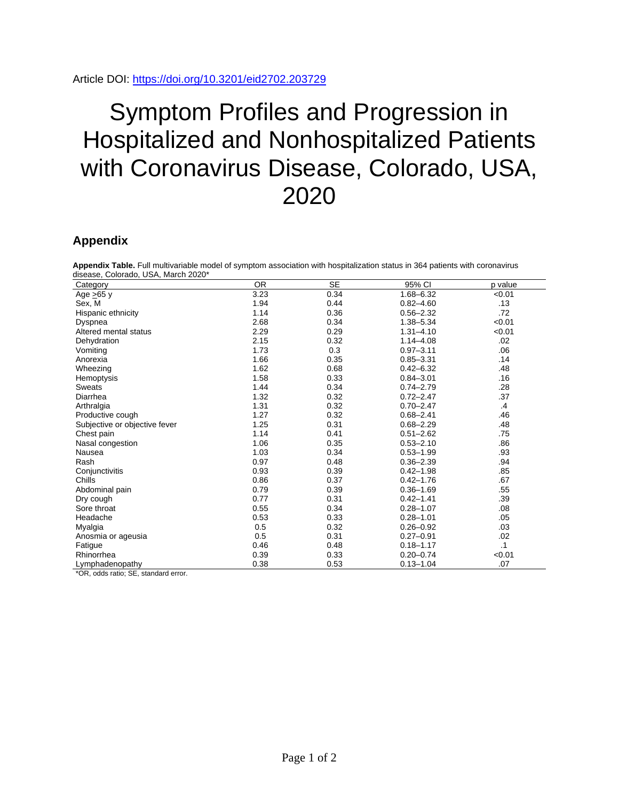## Symptom Profiles and Progression in Hospitalized and Nonhospitalized Patients with Coronavirus Disease, Colorado, USA, 2020

## **Appendix**

**Appendix Table.** Full multivariable model of symptom association with hospitalization status in 364 patients with coronavirus disease, Colorado, USA, March 2020\*

| aiscasc, Oolorado, OOA, March Zozo<br>Category             | <b>OR</b> | <b>SE</b> | 95% CI        | p value   |
|------------------------------------------------------------|-----------|-----------|---------------|-----------|
| Age >65 y                                                  | 3.23      | 0.34      | $1.68 - 6.32$ | < 0.01    |
| Sex, M                                                     | 1.94      | 0.44      | $0.82 - 4.60$ | .13       |
| Hispanic ethnicity                                         | 1.14      | 0.36      | $0.56 - 2.32$ | .72       |
| Dyspnea                                                    | 2.68      | 0.34      | 1.38-5.34     | < 0.01    |
| Altered mental status                                      | 2.29      | 0.29      | $1.31 - 4.10$ | < 0.01    |
| Dehydration                                                | 2.15      | 0.32      | $1.14 - 4.08$ | .02       |
| Vomiting                                                   | 1.73      | 0.3       | $0.97 - 3.11$ | .06       |
| Anorexia                                                   | 1.66      | 0.35      | $0.85 - 3.31$ | .14       |
| Wheezing                                                   | 1.62      | 0.68      | $0.42 - 6.32$ | .48       |
| Hemoptysis                                                 | 1.58      | 0.33      | $0.84 - 3.01$ | .16       |
| Sweats                                                     | 1.44      | 0.34      | $0.74 - 2.79$ | .28       |
| Diarrhea                                                   | 1.32      | 0.32      | $0.72 - 2.47$ | .37       |
| Arthralgia                                                 | 1.31      | 0.32      | $0.70 - 2.47$ | $\cdot$   |
| Productive cough                                           | 1.27      | 0.32      | $0.68 - 2.41$ | .46       |
| Subjective or objective fever                              | 1.25      | 0.31      | $0.68 - 2.29$ | .48       |
| Chest pain                                                 | 1.14      | 0.41      | $0.51 - 2.62$ | .75       |
| Nasal congestion                                           | 1.06      | 0.35      | $0.53 - 2.10$ | .86       |
| Nausea                                                     | 1.03      | 0.34      | $0.53 - 1.99$ | .93       |
| Rash                                                       | 0.97      | 0.48      | $0.36 - 2.39$ | .94       |
| Conjunctivitis                                             | 0.93      | 0.39      | $0.42 - 1.98$ | .85       |
| Chills                                                     | 0.86      | 0.37      | $0.42 - 1.76$ | .67       |
| Abdominal pain                                             | 0.79      | 0.39      | $0.36 - 1.69$ | .55       |
| Dry cough                                                  | 0.77      | 0.31      | $0.42 - 1.41$ | .39       |
| Sore throat                                                | 0.55      | 0.34      | $0.28 - 1.07$ | .08       |
| Headache                                                   | 0.53      | 0.33      | $0.28 - 1.01$ | .05       |
| Myalgia                                                    | 0.5       | 0.32      | $0.26 - 0.92$ | .03       |
| Anosmia or ageusia                                         | 0.5       | 0.31      | $0.27 - 0.91$ | .02       |
| Fatigue                                                    | 0.46      | 0.48      | $0.18 - 1.17$ | $\cdot$ 1 |
| Rhinorrhea                                                 | 0.39      | 0.33      | $0.20 - 0.74$ | < 0.01    |
| Lymphadenopathy<br>$*$ OD $-$ data and $-$ OF $-$ the data | 0.38      | 0.53      | $0.13 - 1.04$ | .07       |

'OR, odds ratio; SE, standard error.